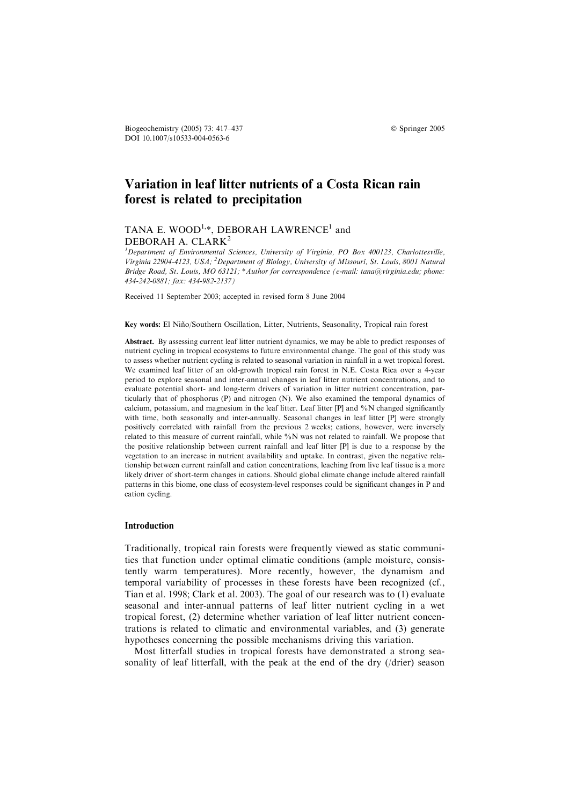Biogeochemistry (2005) 73:  $417-437$   $\circ$  Springer 2005 DOI 10.1007/s10533-004-0563-6

# Variation in leaf litter nutrients of a Costa Rican rain forest is related to precipitation

# TANA E. WOOD<sup>1,\*</sup>, DEBORAH LAWRENCE<sup>1</sup> and DEBORAH A. CLARK<sup>2</sup>

<sup>1</sup>Department of Environmental Sciences, University of Virginia, PO Box 400123, Charlottesville, Virginia 22904-4123, USA; <sup>2</sup>Department of Biology, University of Missouri, St. Louis, 8001 Natural Bridge Road, St. Louis, MO 63121; \*Author for correspondence (e-mail: tana@virginia.edu; phone: 434-242-0881; fax: 434-982-2137)

Received 11 September 2003; accepted in revised form 8 June 2004

Key words: El Niño/Southern Oscillation, Litter, Nutrients, Seasonality, Tropical rain forest

Abstract. By assessing current leaf litter nutrient dynamics, we may be able to predict responses of nutrient cycling in tropical ecosystems to future environmental change. The goal of this study was to assess whether nutrient cycling is related to seasonal variation in rainfall in a wet tropical forest. We examined leaf litter of an old-growth tropical rain forest in N.E. Costa Rica over a 4-year period to explore seasonal and inter-annual changes in leaf litter nutrient concentrations, and to evaluate potential short- and long-term drivers of variation in litter nutrient concentration, particularly that of phosphorus (P) and nitrogen (N). We also examined the temporal dynamics of calcium, potassium, and magnesium in the leaf litter. Leaf litter  $[P]$  and  $\%N$  changed significantly with time, both seasonally and inter-annually. Seasonal changes in leaf litter [P] were strongly positively correlated with rainfall from the previous 2 weeks; cations, however, were inversely related to this measure of current rainfall, while %N was not related to rainfall. We propose that the positive relationship between current rainfall and leaf litter [P] is due to a response by the vegetation to an increase in nutrient availability and uptake. In contrast, given the negative relationship between current rainfall and cation concentrations, leaching from live leaf tissue is a more likely driver of short-term changes in cations. Should global climate change include altered rainfall patterns in this biome, one class of ecosystem-level responses could be significant changes in P and cation cycling.

### Introduction

Traditionally, tropical rain forests were frequently viewed as static communities that function under optimal climatic conditions (ample moisture, consistently warm temperatures). More recently, however, the dynamism and temporal variability of processes in these forests have been recognized (cf., Tian et al. 1998; Clark et al. 2003). The goal of our research was to (1) evaluate seasonal and inter-annual patterns of leaf litter nutrient cycling in a wet tropical forest, (2) determine whether variation of leaf litter nutrient concentrations is related to climatic and environmental variables, and (3) generate hypotheses concerning the possible mechanisms driving this variation.

Most litterfall studies in tropical forests have demonstrated a strong seasonality of leaf litterfall, with the peak at the end of the dry (/drier) season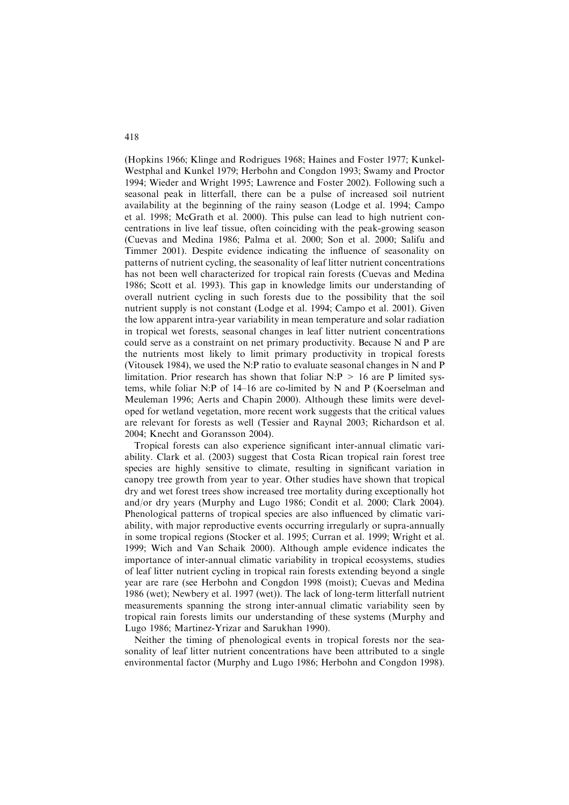(Hopkins 1966; Klinge and Rodrigues 1968; Haines and Foster 1977; Kunkel-Westphal and Kunkel 1979; Herbohn and Congdon 1993; Swamy and Proctor 1994; Wieder and Wright 1995; Lawrence and Foster 2002). Following such a seasonal peak in litterfall, there can be a pulse of increased soil nutrient availability at the beginning of the rainy season (Lodge et al. 1994; Campo et al. 1998; McGrath et al. 2000). This pulse can lead to high nutrient concentrations in live leaf tissue, often coinciding with the peak-growing season (Cuevas and Medina 1986; Palma et al. 2000; Son et al. 2000; Salifu and Timmer 2001). Despite evidence indicating the influence of seasonality on patterns of nutrient cycling, the seasonality of leaf litter nutrient concentrations has not been well characterized for tropical rain forests (Cuevas and Medina 1986; Scott et al. 1993). This gap in knowledge limits our understanding of overall nutrient cycling in such forests due to the possibility that the soil nutrient supply is not constant (Lodge et al. 1994; Campo et al. 2001). Given the low apparent intra-year variability in mean temperature and solar radiation in tropical wet forests, seasonal changes in leaf litter nutrient concentrations could serve as a constraint on net primary productivity. Because N and P are the nutrients most likely to limit primary productivity in tropical forests (Vitousek 1984), we used the N:P ratio to evaluate seasonal changes in N and P limitation. Prior research has shown that foliar  $N: P > 16$  are P limited systems, while foliar N:P of 14–16 are co-limited by N and P (Koerselman and Meuleman 1996; Aerts and Chapin 2000). Although these limits were developed for wetland vegetation, more recent work suggests that the critical values are relevant for forests as well (Tessier and Raynal 2003; Richardson et al. 2004; Knecht and Goransson 2004).

Tropical forests can also experience significant inter-annual climatic variability. Clark et al. (2003) suggest that Costa Rican tropical rain forest tree species are highly sensitive to climate, resulting in significant variation in canopy tree growth from year to year. Other studies have shown that tropical dry and wet forest trees show increased tree mortality during exceptionally hot and/or dry years (Murphy and Lugo 1986; Condit et al. 2000; Clark 2004). Phenological patterns of tropical species are also influenced by climatic variability, with major reproductive events occurring irregularly or supra-annually in some tropical regions (Stocker et al. 1995; Curran et al. 1999; Wright et al. 1999; Wich and Van Schaik 2000). Although ample evidence indicates the importance of inter-annual climatic variability in tropical ecosystems, studies of leaf litter nutrient cycling in tropical rain forests extending beyond a single year are rare (see Herbohn and Congdon 1998 (moist); Cuevas and Medina 1986 (wet); Newbery et al. 1997 (wet)). The lack of long-term litterfall nutrient measurements spanning the strong inter-annual climatic variability seen by tropical rain forests limits our understanding of these systems (Murphy and Lugo 1986; Martinez-Yrizar and Sarukhan 1990).

Neither the timing of phenological events in tropical forests nor the seasonality of leaf litter nutrient concentrations have been attributed to a single environmental factor (Murphy and Lugo 1986; Herbohn and Congdon 1998).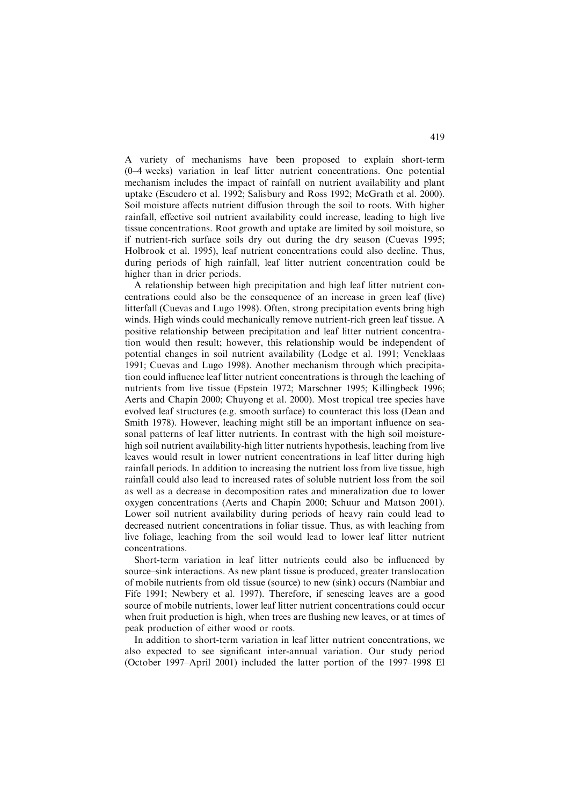A variety of mechanisms have been proposed to explain short-term (0–4 weeks) variation in leaf litter nutrient concentrations. One potential mechanism includes the impact of rainfall on nutrient availability and plant uptake (Escudero et al. 1992; Salisbury and Ross 1992; McGrath et al. 2000). Soil moisture affects nutrient diffusion through the soil to roots. With higher rainfall, effective soil nutrient availability could increase, leading to high live tissue concentrations. Root growth and uptake are limited by soil moisture, so if nutrient-rich surface soils dry out during the dry season (Cuevas 1995; Holbrook et al. 1995), leaf nutrient concentrations could also decline. Thus, during periods of high rainfall, leaf litter nutrient concentration could be higher than in drier periods.

A relationship between high precipitation and high leaf litter nutrient concentrations could also be the consequence of an increase in green leaf (live) litterfall (Cuevas and Lugo 1998). Often, strong precipitation events bring high winds. High winds could mechanically remove nutrient-rich green leaf tissue. A positive relationship between precipitation and leaf litter nutrient concentration would then result; however, this relationship would be independent of potential changes in soil nutrient availability (Lodge et al. 1991; Veneklaas 1991; Cuevas and Lugo 1998). Another mechanism through which precipitation could influence leaf litter nutrient concentrations is through the leaching of nutrients from live tissue (Epstein 1972; Marschner 1995; Killingbeck 1996; Aerts and Chapin 2000; Chuyong et al. 2000). Most tropical tree species have evolved leaf structures (e.g. smooth surface) to counteract this loss (Dean and Smith 1978). However, leaching might still be an important influence on seasonal patterns of leaf litter nutrients. In contrast with the high soil moisturehigh soil nutrient availability-high litter nutrients hypothesis, leaching from live leaves would result in lower nutrient concentrations in leaf litter during high rainfall periods. In addition to increasing the nutrient loss from live tissue, high rainfall could also lead to increased rates of soluble nutrient loss from the soil as well as a decrease in decomposition rates and mineralization due to lower oxygen concentrations (Aerts and Chapin 2000; Schuur and Matson 2001). Lower soil nutrient availability during periods of heavy rain could lead to decreased nutrient concentrations in foliar tissue. Thus, as with leaching from live foliage, leaching from the soil would lead to lower leaf litter nutrient concentrations.

Short-term variation in leaf litter nutrients could also be influenced by source–sink interactions. As new plant tissue is produced, greater translocation of mobile nutrients from old tissue (source) to new (sink) occurs (Nambiar and Fife 1991; Newbery et al. 1997). Therefore, if senescing leaves are a good source of mobile nutrients, lower leaf litter nutrient concentrations could occur when fruit production is high, when trees are flushing new leaves, or at times of peak production of either wood or roots.

In addition to short-term variation in leaf litter nutrient concentrations, we also expected to see significant inter-annual variation. Our study period (October 1997–April 2001) included the latter portion of the 1997–1998 El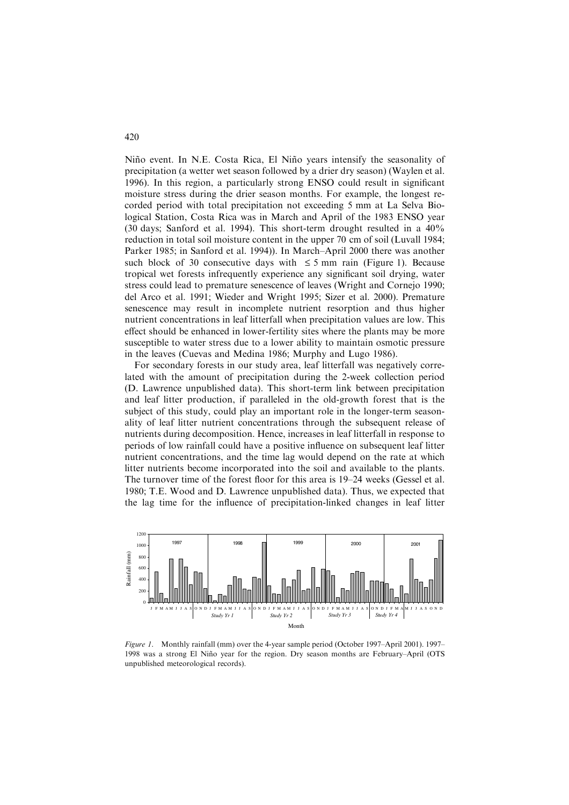Niño event. In N.E. Costa Rica, El Niño years intensify the seasonality of precipitation (a wetter wet season followed by a drier dry season) (Waylen et al. 1996). In this region, a particularly strong ENSO could result in significant moisture stress during the drier season months. For example, the longest recorded period with total precipitation not exceeding 5 mm at La Selva Biological Station, Costa Rica was in March and April of the 1983 ENSO year (30 days; Sanford et al. 1994). This short-term drought resulted in a 40% reduction in total soil moisture content in the upper 70 cm of soil (Luvall 1984; Parker 1985; in Sanford et al. 1994)). In March–April 2000 there was another such block of 30 consecutive days with  $\leq$  5 mm rain (Figure 1). Because tropical wet forests infrequently experience any significant soil drying, water stress could lead to premature senescence of leaves (Wright and Cornejo 1990; del Arco et al. 1991; Wieder and Wright 1995; Sizer et al. 2000). Premature senescence may result in incomplete nutrient resorption and thus higher nutrient concentrations in leaf litterfall when precipitation values are low. This effect should be enhanced in lower-fertility sites where the plants may be more susceptible to water stress due to a lower ability to maintain osmotic pressure in the leaves (Cuevas and Medina 1986; Murphy and Lugo 1986).

For secondary forests in our study area, leaf litterfall was negatively correlated with the amount of precipitation during the 2-week collection period (D. Lawrence unpublished data). This short-term link between precipitation and leaf litter production, if paralleled in the old-growth forest that is the subject of this study, could play an important role in the longer-term seasonality of leaf litter nutrient concentrations through the subsequent release of nutrients during decomposition. Hence, increases in leaf litterfall in response to periods of low rainfall could have a positive influence on subsequent leaf litter nutrient concentrations, and the time lag would depend on the rate at which litter nutrients become incorporated into the soil and available to the plants. The turnover time of the forest floor for this area is 19–24 weeks (Gessel et al. 1980; T.E. Wood and D. Lawrence unpublished data). Thus, we expected that the lag time for the influence of precipitation-linked changes in leaf litter



Figure 1. Monthly rainfall (mm) over the 4-year sample period (October 1997–April 2001). 1997– 1998 was a strong El Niño year for the region. Dry season months are February–April (OTS unpublished meteorological records).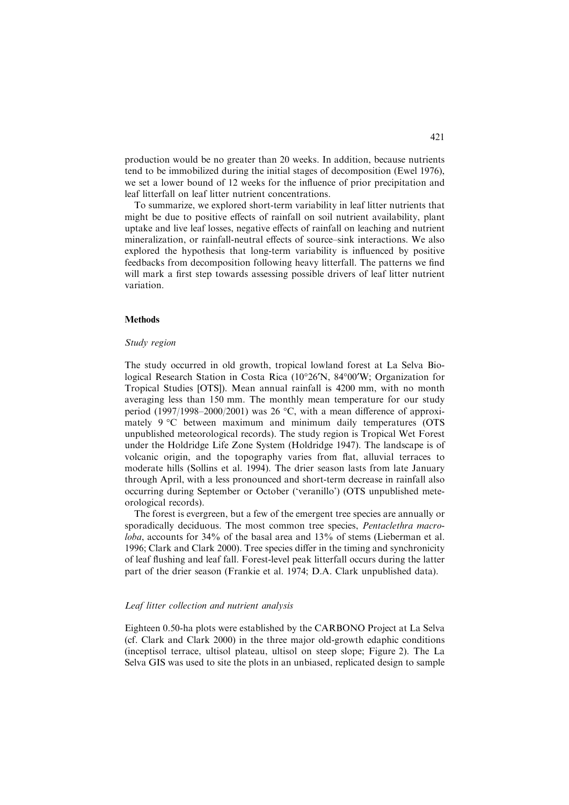production would be no greater than 20 weeks. In addition, because nutrients tend to be immobilized during the initial stages of decomposition (Ewel 1976), we set a lower bound of 12 weeks for the influence of prior precipitation and leaf litterfall on leaf litter nutrient concentrations.

To summarize, we explored short-term variability in leaf litter nutrients that might be due to positive effects of rainfall on soil nutrient availability, plant uptake and live leaf losses, negative effects of rainfall on leaching and nutrient mineralization, or rainfall-neutral effects of source–sink interactions. We also explored the hypothesis that long-term variability is influenced by positive feedbacks from decomposition following heavy litterfall. The patterns we find will mark a first step towards assessing possible drivers of leaf litter nutrient variation.

## Methods

#### Study region

The study occurred in old growth, tropical lowland forest at La Selva Biological Research Station in Costa Rica (10°26'N, 84°00'W; Organization for Tropical Studies [OTS]). Mean annual rainfall is 4200 mm, with no month averaging less than 150 mm. The monthly mean temperature for our study period (1997/1998–2000/2001) was 26 °C, with a mean difference of approximately  $9 °C$  between maximum and minimum daily temperatures (OTS unpublished meteorological records). The study region is Tropical Wet Forest under the Holdridge Life Zone System (Holdridge 1947). The landscape is of volcanic origin, and the topography varies from flat, alluvial terraces to moderate hills (Sollins et al. 1994). The drier season lasts from late January through April, with a less pronounced and short-term decrease in rainfall also occurring during September or October ('veranillo') (OTS unpublished meteorological records).

The forest is evergreen, but a few of the emergent tree species are annually or sporadically deciduous. The most common tree species, *Pentaclethra macro*loba, accounts for 34% of the basal area and 13% of stems (Lieberman et al. 1996; Clark and Clark 2000). Tree species differ in the timing and synchronicity of leaf flushing and leaf fall. Forest-level peak litterfall occurs during the latter part of the drier season (Frankie et al. 1974; D.A. Clark unpublished data).

## Leaf litter collection and nutrient analysis

Eighteen 0.50-ha plots were established by the CARBONO Project at La Selva (cf. Clark and Clark 2000) in the three major old-growth edaphic conditions (inceptisol terrace, ultisol plateau, ultisol on steep slope; Figure 2). The La Selva GIS was used to site the plots in an unbiased, replicated design to sample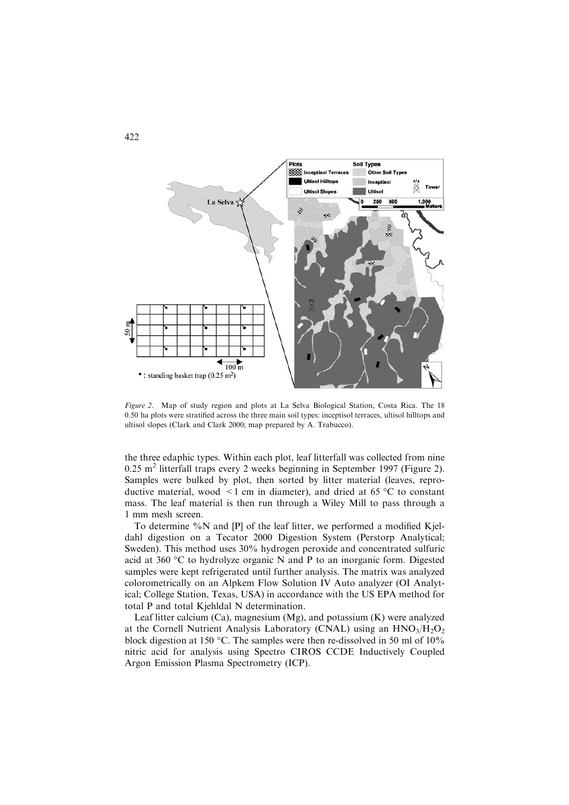

Figure 2. Map of study region and plots at La Selva Biological Station, Costa Rica. The 18 0.50 ha plots were stratified across the three main soil types: inceptisol terraces, ultisol hilltops and ultisol slopes (Clark and Clark 2000; map prepared by A. Trabucco).

the three edaphic types. Within each plot, leaf litterfall was collected from nine  $0.25$  m<sup>2</sup> litterfall traps every 2 weeks beginning in September 1997 (Figure 2). Samples were bulked by plot, then sorted by litter material (leaves, reproductive material, wood  $\leq 1$  cm in diameter), and dried at 65 °C to constant mass. The leaf material is then run through a Wiley Mill to pass through a 1 mm mesh screen.

To determine %N and [P] of the leaf litter, we performed a modified Kjeldahl digestion on a Tecator 2000 Digestion System (Perstorp Analytical; Sweden). This method uses 30% hydrogen peroxide and concentrated sulfuric acid at 360 °C to hydrolyze organic N and P to an inorganic form. Digested samples were kept refrigerated until further analysis. The matrix was analyzed colorometrically on an Alpkem Flow Solution IV Auto analyzer (OI Analytical; College Station, Texas, USA) in accordance with the US EPA method for total P and total Kjehldal N determination.

Leaf litter calcium (Ca), magnesium (Mg), and potassium (K) were analyzed at the Cornell Nutrient Analysis Laboratory (CNAL) using an  $HNO<sub>3</sub>/H<sub>2</sub>O<sub>2</sub>$ block digestion at 150 °C. The samples were then re-dissolved in 50 ml of  $10\%$ nitric acid for analysis using Spectro CIROS CCDE Inductively Coupled Argon Emission Plasma Spectrometry (ICP).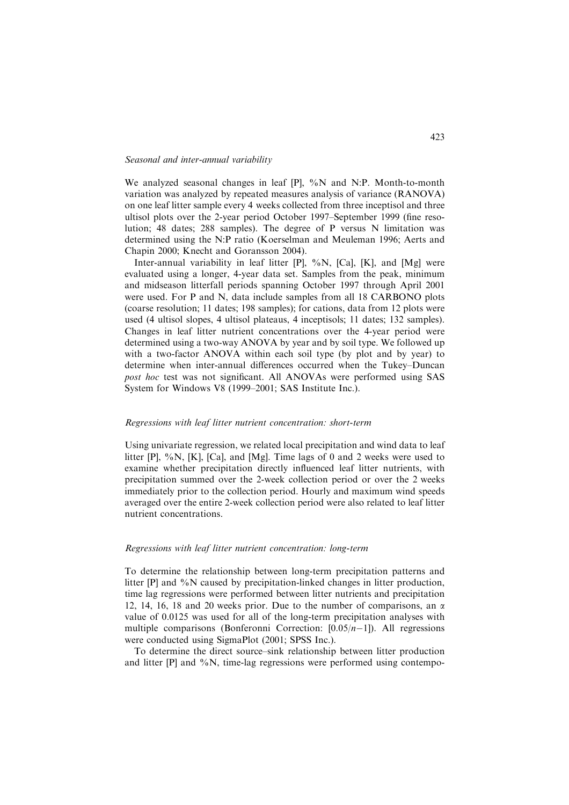### Seasonal and inter-annual variability

We analyzed seasonal changes in leaf [P], %N and N:P. Month-to-month variation was analyzed by repeated measures analysis of variance (RANOVA) on one leaf litter sample every 4 weeks collected from three inceptisol and three ultisol plots over the 2-year period October 1997–September 1999 (fine resolution; 48 dates; 288 samples). The degree of P versus N limitation was determined using the N:P ratio (Koerselman and Meuleman 1996; Aerts and Chapin 2000; Knecht and Goransson 2004).

Inter-annual variability in leaf litter [P], %N, [Ca], [K], and [Mg] were evaluated using a longer, 4-year data set. Samples from the peak, minimum and midseason litterfall periods spanning October 1997 through April 2001 were used. For P and N, data include samples from all 18 CARBONO plots (coarse resolution; 11 dates; 198 samples); for cations, data from 12 plots were used (4 ultisol slopes, 4 ultisol plateaus, 4 inceptisols; 11 dates; 132 samples). Changes in leaf litter nutrient concentrations over the 4-year period were determined using a two-way ANOVA by year and by soil type. We followed up with a two-factor ANOVA within each soil type (by plot and by year) to determine when inter-annual differences occurred when the Tukey–Duncan post hoc test was not significant. All ANOVAs were performed using SAS System for Windows V8 (1999–2001; SAS Institute Inc.).

## Regressions with leaf litter nutrient concentration: short-term

Using univariate regression, we related local precipitation and wind data to leaf litter [P], %N, [K], [Ca], and [Mg]. Time lags of 0 and 2 weeks were used to examine whether precipitation directly influenced leaf litter nutrients, with precipitation summed over the 2-week collection period or over the 2 weeks immediately prior to the collection period. Hourly and maximum wind speeds averaged over the entire 2-week collection period were also related to leaf litter nutrient concentrations.

# Regressions with leaf litter nutrient concentration: long-term

To determine the relationship between long-term precipitation patterns and litter  $[P]$  and  $\%$ N caused by precipitation-linked changes in litter production, time lag regressions were performed between litter nutrients and precipitation 12, 14, 16, 18 and 20 weeks prior. Due to the number of comparisons, an *a* value of 0.0125 was used for all of the long-term precipitation analyses with multiple comparisons (Bonferonni Correction:  $[0.05/n-1]$ ). All regressions were conducted using SigmaPlot (2001; SPSS Inc.).

To determine the direct source–sink relationship between litter production and litter  $[P]$  and  $\%$ N, time-lag regressions were performed using contempo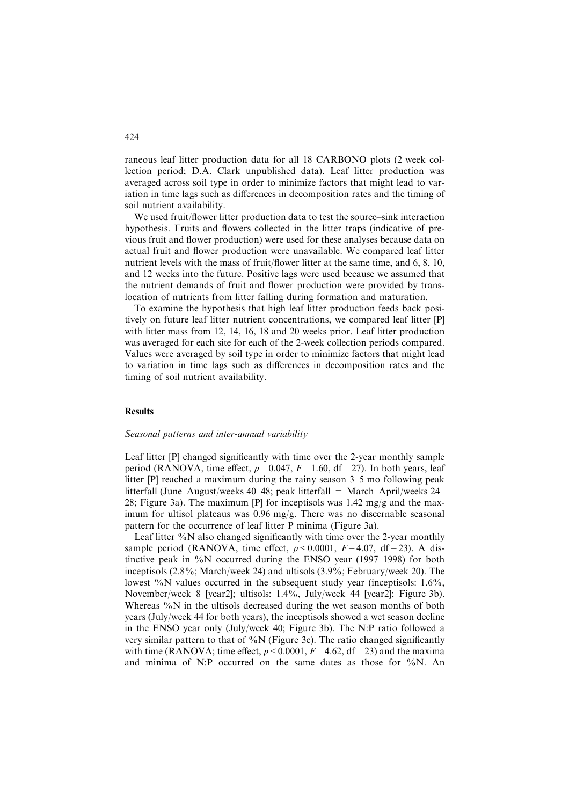raneous leaf litter production data for all 18 CARBONO plots (2 week collection period; D.A. Clark unpublished data). Leaf litter production was averaged across soil type in order to minimize factors that might lead to variation in time lags such as differences in decomposition rates and the timing of soil nutrient availability.

We used fruit/flower litter production data to test the source–sink interaction hypothesis. Fruits and flowers collected in the litter traps (indicative of previous fruit and flower production) were used for these analyses because data on actual fruit and flower production were unavailable. We compared leaf litter nutrient levels with the mass of fruit/flower litter at the same time, and 6, 8, 10, and 12 weeks into the future. Positive lags were used because we assumed that the nutrient demands of fruit and flower production were provided by translocation of nutrients from litter falling during formation and maturation.

To examine the hypothesis that high leaf litter production feeds back positively on future leaf litter nutrient concentrations, we compared leaf litter [P] with litter mass from 12, 14, 16, 18 and 20 weeks prior. Leaf litter production was averaged for each site for each of the 2-week collection periods compared. Values were averaged by soil type in order to minimize factors that might lead to variation in time lags such as differences in decomposition rates and the timing of soil nutrient availability.

#### **Results**

#### Seasonal patterns and inter-annual variability

Leaf litter [P] changed significantly with time over the 2-year monthly sample period (RANOVA, time effect,  $p=0.047$ ,  $F=1.60$ , df = 27). In both years, leaf litter [P] reached a maximum during the rainy season 3–5 mo following peak litterfall (June–August/weeks 40–48; peak litterfall = March–April/weeks  $24-$ 28; Figure 3a). The maximum [P] for inceptisols was 1.42 mg/g and the maximum for ultisol plateaus was 0.96 mg/g. There was no discernable seasonal pattern for the occurrence of leaf litter P minima (Figure 3a).

Leaf litter  $\%$ N also changed significantly with time over the 2-year monthly sample period (RANOVA, time effect,  $p < 0.0001$ ,  $F = 4.07$ , df = 23). A distinctive peak in  $\%$ N occurred during the ENSO year (1997–1998) for both inceptisols (2.8%; March/week 24) and ultisols (3.9%; February/week 20). The lowest  $\%$ N values occurred in the subsequent study year (inceptisols: 1.6%, November/week 8 [year2]; ultisols: 1.4%, July/week 44 [year2]; Figure 3b). Whereas  $\%$ N in the ultisols decreased during the wet season months of both years (July/week 44 for both years), the inceptisols showed a wet season decline in the ENSO year only (July/week 40; Figure 3b). The N:P ratio followed a very similar pattern to that of  $\%N$  (Figure 3c). The ratio changed significantly with time (RANOVA; time effect,  $p < 0.0001$ ,  $F = 4.62$ , df = 23) and the maxima and minima of N:P occurred on the same dates as those for  $\%$ N. An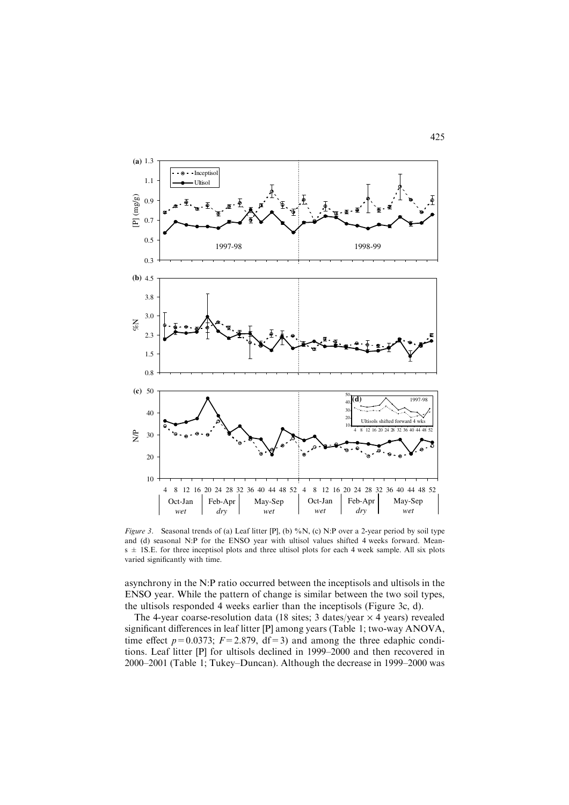

Figure 3. Seasonal trends of (a) Leaf litter [P], (b) %N, (c) N:P over a 2-year period by soil type and (d) seasonal N:P for the ENSO year with ultisol values shifted 4 weeks forward. Mean $s \pm 1$ S.E. for three inceptisol plots and three ultisol plots for each 4 week sample. All six plots varied significantly with time.

asynchrony in the N:P ratio occurred between the inceptisols and ultisols in the ENSO year. While the pattern of change is similar between the two soil types, the ultisols responded 4 weeks earlier than the inceptisols (Figure 3c, d).

The 4-year coarse-resolution data (18 sites; 3 dates/year  $\times$  4 years) revealed significant differences in leaf litter [P] among years (Table 1; two-way ANOVA, time effect  $p=0.0373$ ;  $F=2.879$ , df=3) and among the three edaphic conditions. Leaf litter [P] for ultisols declined in 1999–2000 and then recovered in 2000–2001 (Table 1; Tukey–Duncan). Although the decrease in 1999–2000 was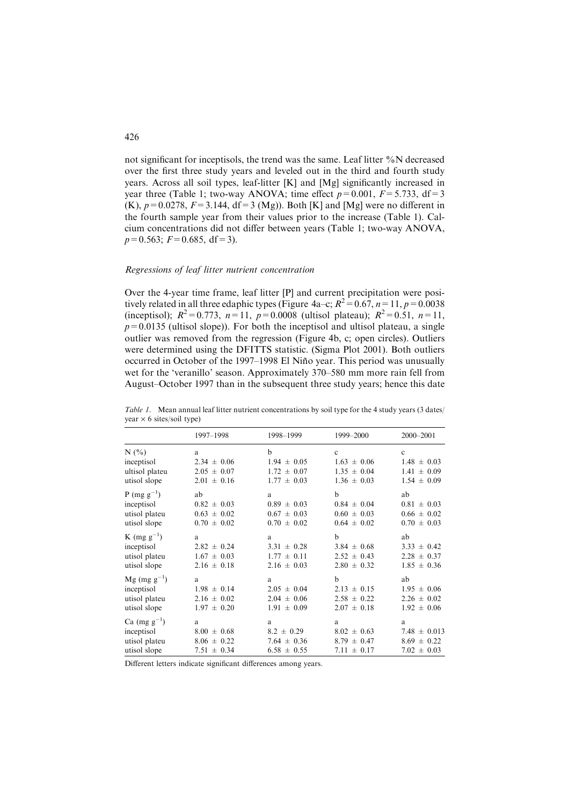not significant for inceptisols, the trend was the same. Leaf litter %N decreased over the first three study years and leveled out in the third and fourth study years. Across all soil types, leaf-litter [K] and [Mg] significantly increased in year three (Table 1; two-way ANOVA; time effect  $p=0.001$ ,  $F=5.733$ , df = 3  $(K), p=0.0278, F=3.144, df=3 (Mg)$ . Both [K] and [Mg] were no different in the fourth sample year from their values prior to the increase (Table 1). Calcium concentrations did not differ between years (Table 1; two-way ANOVA,  $p=0.563$ ;  $F=0.685$ , df = 3).

#### Regressions of leaf litter nutrient concentration

Over the 4-year time frame, leaf litter [P] and current precipitation were positively related in all three edaphic types (Figure 4a–c;  $R^2 = 0.67$ ,  $n = 11$ ,  $p = 0.0038$ (inceptisol);  $R^2 = 0.773$ ,  $n = 11$ ,  $p = 0.0008$  (ultisol plateau);  $R^2 = 0.51$ ,  $n = 11$ ,  $p=0.0135$  (ultisol slope)). For both the inceptisol and ultisol plateau, a single outlier was removed from the regression (Figure 4b, c; open circles). Outliers were determined using the DFITTS statistic. (Sigma Plot 2001). Both outliers occurred in October of the 1997–1998 El Niño year. This period was unusually wet for the 'veranillo' season. Approximately 370–580 mm more rain fell from August–October 1997 than in the subsequent three study years; hence this date

|                           | 1997-1998       | 1998-1999       | 1999-2000       | 2000-2001        |
|---------------------------|-----------------|-----------------|-----------------|------------------|
| N(%                       | a.              | b               | $\mathbf{c}$    | $\mathbf{c}$     |
| inceptisol                | $2.34 \pm 0.06$ | $1.94 \pm 0.05$ | $1.63 \pm 0.06$ | $1.48 \pm 0.03$  |
| ultisol plateu            | $2.05 \pm 0.07$ | $1.72 \pm 0.07$ | $1.35 \pm 0.04$ | $1.41 \pm 0.09$  |
| utisol slope              | $2.01 \pm 0.16$ | $1.77 \pm 0.03$ | $1.36 \pm 0.03$ | $1.54 \pm 0.09$  |
| $P$ (mg g <sup>-1</sup> ) | ab              | a               | b               | ab               |
| inceptisol                | $0.82 \pm 0.03$ | $0.89 \pm 0.03$ | $0.84 \pm 0.04$ | $0.81 \pm 0.03$  |
| utisol plateu             | $0.63 \pm 0.02$ | $0.67 \pm 0.03$ | $0.60 \pm 0.03$ | $0.66 \pm 0.02$  |
| utisol slope              | $0.70 \pm 0.02$ | $0.70 \pm 0.02$ | $0.64 \pm 0.02$ | $0.70 \pm 0.03$  |
| K (mg $g^{-1}$ )          | a               | a               | b               | ab               |
| inceptisol                | $2.82 \pm 0.24$ | $3.31 \pm 0.28$ | $3.84 \pm 0.68$ | $3.33 \pm 0.42$  |
| utisol plateu             | $1.67 \pm 0.03$ | $1.77 \pm 0.11$ | $2.52 \pm 0.43$ | $2.28 \pm 0.37$  |
| utisol slope              | $2.16 \pm 0.18$ | $2.16 \pm 0.03$ | $2.80 \pm 0.32$ | $1.85 \pm 0.36$  |
| $Mg$ (mg $g^{-1}$ )       | a               | a               | h               | ab               |
| inceptisol                | $1.98 \pm 0.14$ | $2.05 \pm 0.04$ | $2.13 \pm 0.15$ | $1.95 \pm 0.06$  |
| utisol plateu             | $2.16 \pm 0.02$ | $2.04 \pm 0.06$ | $2.58 \pm 0.22$ | $2.26 \pm 0.02$  |
| utisol slope              | $1.97 \pm 0.20$ | $1.91 \pm 0.09$ | $2.07 \pm 0.18$ | $1.92 \pm 0.06$  |
| Ca $(mg g^{-1})$          | a               | a               | a               | a                |
| inceptisol                | $8.00 \pm 0.68$ | $8.2 \pm 0.29$  | $8.02 \pm 0.63$ | $7.48 \pm 0.013$ |
| utisol plateu             | $8.06 \pm 0.22$ | $7.64 \pm 0.36$ | $8.79 \pm 0.47$ | $8.69 \pm 0.22$  |
| utisol slope              | $7.51 \pm 0.34$ | $6.58 \pm 0.55$ | $7.11 \pm 0.17$ | $7.02 \pm 0.03$  |

Table 1. Mean annual leaf litter nutrient concentrations by soil type for the 4 study years (3 dates/ year  $\times$  6 sites/soil type)

Different letters indicate significant differences among years.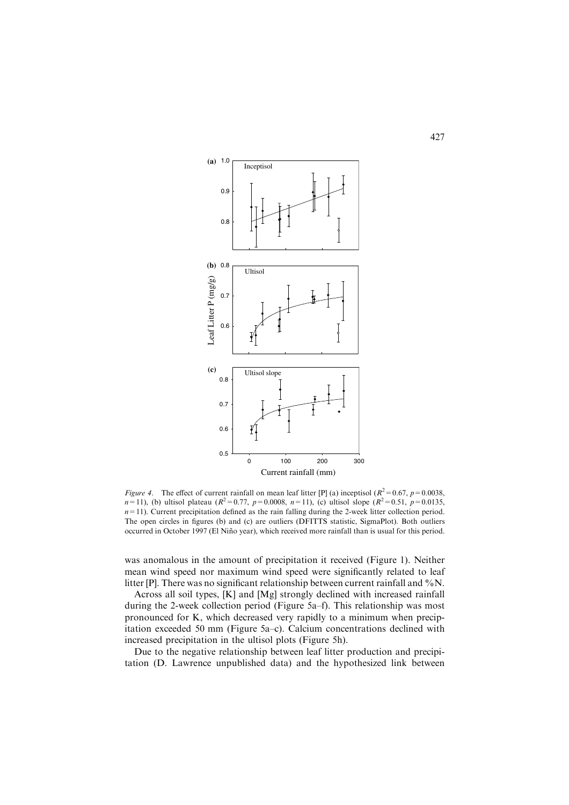

Figure 4. The effect of current rainfall on mean leaf litter [P] (a) inceptisol ( $R^2 = 0.67$ ,  $p = 0.0038$ ,  $n=11$ ), (b) ultisol plateau ( $R^2=0.77$ ,  $p=0.0008$ ,  $n=11$ ), (c) ultisol slope ( $R^2=0.51$ ,  $p=0.0135$ ,  $n=11$ ). Current precipitation defined as the rain falling during the 2-week litter collection period. The open circles in figures (b) and (c) are outliers (DFITTS statistic, SigmaPlot). Both outliers occurred in October 1997 (El Niño year), which received more rainfall than is usual for this period.

was anomalous in the amount of precipitation it received (Figure 1). Neither mean wind speed nor maximum wind speed were significantly related to leaf litter [P]. There was no significant relationship between current rainfall and %N.

Across all soil types, [K] and [Mg] strongly declined with increased rainfall during the 2-week collection period (Figure 5a–f). This relationship was most pronounced for K, which decreased very rapidly to a minimum when precipitation exceeded 50 mm (Figure 5a–c). Calcium concentrations declined with increased precipitation in the ultisol plots (Figure 5h).

Due to the negative relationship between leaf litter production and precipitation (D. Lawrence unpublished data) and the hypothesized link between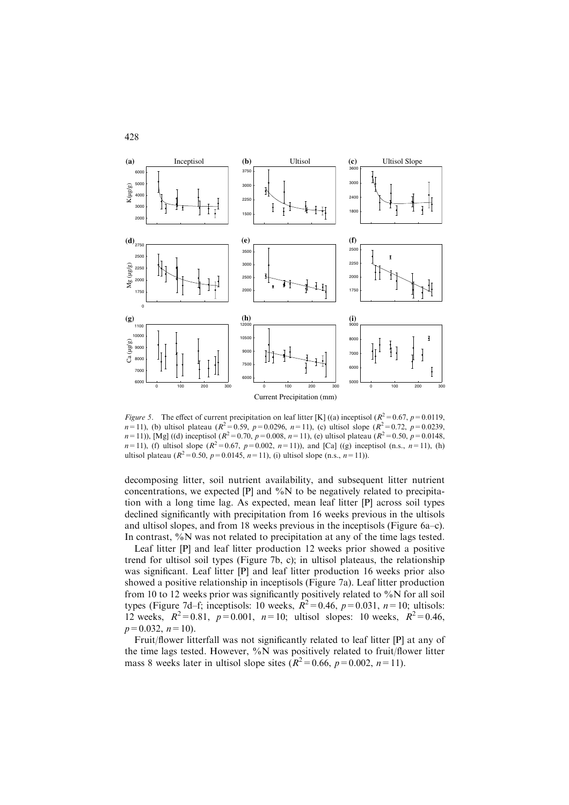

Figure 5. The effect of current precipitation on leaf litter [K] ((a) inceptisol ( $R^2 = 0.67$ ,  $p = 0.0119$ ,  $n=11$ ), (b) ultisol plateau ( $R^2 = 0.59$ ,  $p=0.0296$ ,  $n=11$ ), (c) ultisol slope ( $R^2 = 0.72$ ,  $p=0.0239$ ,  $(n=11)$ ), [Mg] ((d) inceptisol ( $R^2 = 0.70$ ,  $p = 0.008$ ,  $n = 11$ ), (e) ultisol plateau ( $R^2 = 0.50$ ,  $p = 0.0148$ ,  $n=11$ ), (f) ultisol slope ( $R^2=0.67$ ,  $p=0.002$ ,  $n=11$ )), and [Ca] ((g) inceptisol (n.s.,  $n=11$ ), (h) ultisol plateau ( $R^2 = 0.50$ ,  $p = 0.0145$ ,  $n = 11$ ), (i) ultisol slope (n.s.,  $n = 11$ )).

decomposing litter, soil nutrient availability, and subsequent litter nutrient concentrations, we expected  $[P]$  and  $\%N$  to be negatively related to precipitation with a long time lag. As expected, mean leaf litter [P] across soil types declined significantly with precipitation from 16 weeks previous in the ultisols and ultisol slopes, and from 18 weeks previous in the inceptisols (Figure 6a–c). In contrast, %N was not related to precipitation at any of the time lags tested.

Leaf litter [P] and leaf litter production 12 weeks prior showed a positive trend for ultisol soil types (Figure 7b, c); in ultisol plateaus, the relationship was significant. Leaf litter [P] and leaf litter production 16 weeks prior also showed a positive relationship in inceptisols (Figure 7a). Leaf litter production from 10 to 12 weeks prior was significantly positively related to %N for all soil types (Figure 7d–f; inceptisols: 10 weeks,  $R^2 = 0.46$ ,  $p = 0.031$ ,  $n = 10$ ; ultisols: 12 weeks,  $R^2 = 0.81$ ,  $p = 0.001$ ,  $n = 10$ ; ultisol slopes: 10 weeks,  $R^2 = 0.46$ ,  $p=0.032$ ,  $n=10$ ).

Fruit/flower litterfall was not significantly related to leaf litter [P] at any of the time lags tested. However,  $\%$ N was positively related to fruit/flower litter mass 8 weeks later in ultisol slope sites  $(R^2=0.66, p=0.002, n=11)$ .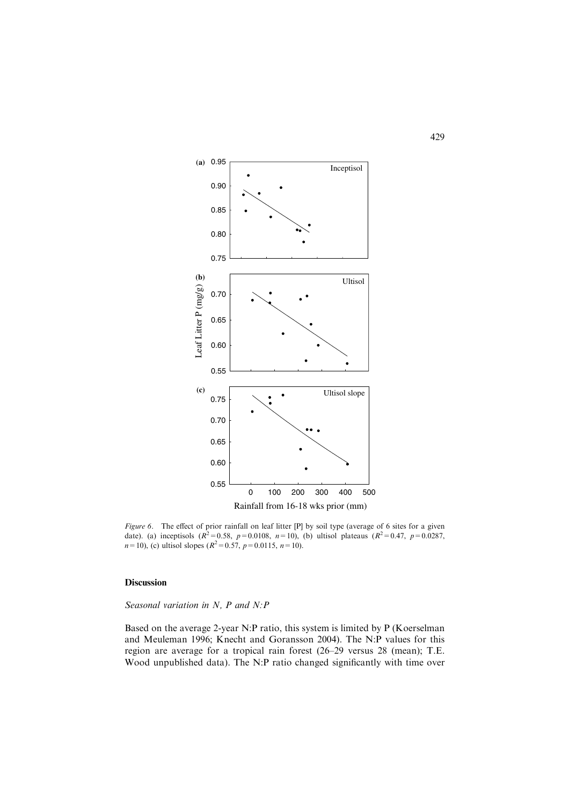

*Figure 6.* The effect of prior rainfall on leaf litter [P] by soil type (average of 6 sites for a given date). (a) inceptisols  $(R^2 = 0.58, p = 0.0108, n = 10)$ , (b) ultisol plateaus  $(R^2 = 0.47, p = 0.0287, p = 0.0287)$  $n=10$ ), (c) ultisol slopes ( $R^2 = 0.57$ ,  $p=0.0115$ ,  $n=10$ ).

## Discussion

# Seasonal variation in N, P and N:P

Based on the average 2-year N:P ratio, this system is limited by P (Koerselman and Meuleman 1996; Knecht and Goransson 2004). The N:P values for this region are average for a tropical rain forest (26–29 versus 28 (mean); T.E. Wood unpublished data). The N:P ratio changed significantly with time over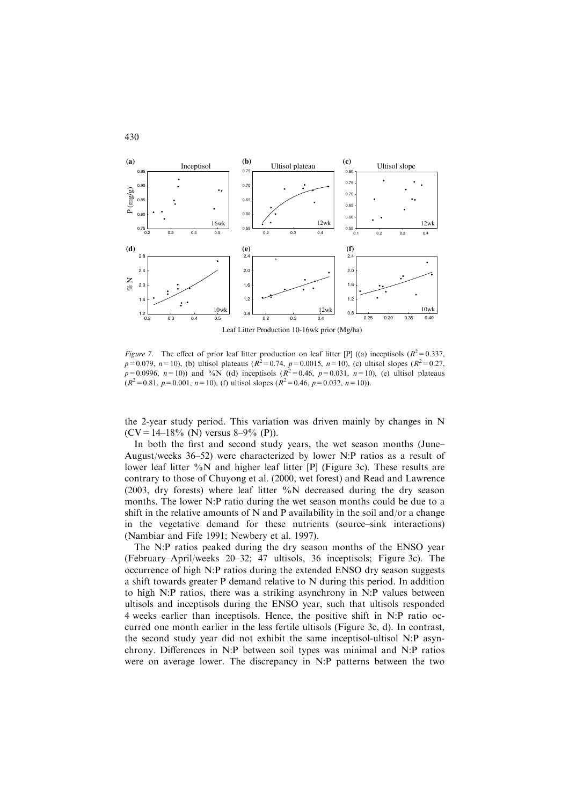

*Figure 7.* The effect of prior leaf litter production on leaf litter [P] ((a) inceptisols  $(R^2 = 0.337$ ,  $p = 0.079$ ,  $n = 10$ ), (b) ultisol plateaus  $(R^2 = 0.74, p = 0.0015, n = 10)$ , (c) ultisol slopes  $(R^2 = 0.27, p = 0.0015, n =$  $p=0.0996$ ,  $n=10$ )) and %N ((d) inceptisols  $(R^2=0.46, p=0.031, n=10)$ , (e) ultisol plateaus  $(R^2 = 0.81, p = 0.001, n = 10)$ , (f) ultisol slopes  $(R^2 = 0.46, p = 0.032, n = 10)$ ).

the 2-year study period. This variation was driven mainly by changes in N  $(CV=14-18\%$  (N) versus 8–9% (P)).

In both the first and second study years, the wet season months (June– August/weeks 36–52) were characterized by lower N:P ratios as a result of lower leaf litter %N and higher leaf litter [P] (Figure 3c). These results are contrary to those of Chuyong et al. (2000, wet forest) and Read and Lawrence (2003, dry forests) where leaf litter  $\%$ N decreased during the dry season months. The lower N:P ratio during the wet season months could be due to a shift in the relative amounts of N and P availability in the soil and/or a change in the vegetative demand for these nutrients (source–sink interactions) (Nambiar and Fife 1991; Newbery et al. 1997).

The N:P ratios peaked during the dry season months of the ENSO year (February–April/weeks 20–32; 47 ultisols, 36 inceptisols; Figure 3c). The occurrence of high N:P ratios during the extended ENSO dry season suggests a shift towards greater P demand relative to N during this period. In addition to high N:P ratios, there was a striking asynchrony in N:P values between ultisols and inceptisols during the ENSO year, such that ultisols responded 4 weeks earlier than inceptisols. Hence, the positive shift in N:P ratio occurred one month earlier in the less fertile ultisols (Figure 3c, d). In contrast, the second study year did not exhibit the same inceptisol-ultisol N:P asynchrony. Differences in N:P between soil types was minimal and N:P ratios were on average lower. The discrepancy in N:P patterns between the two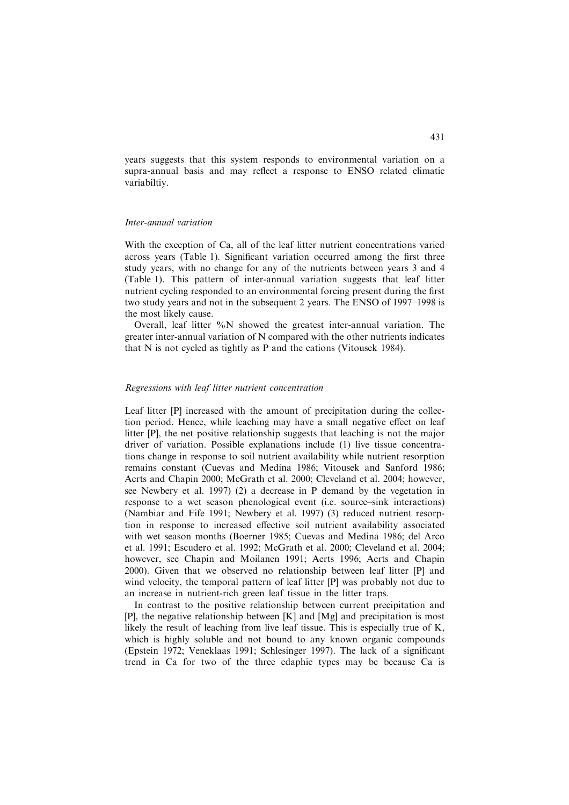years suggests that this system responds to environmental variation on a supra-annual basis and may reflect a response to ENSO related climatic variabiltiy.

## Inter-annual variation

With the exception of Ca, all of the leaf litter nutrient concentrations varied across years (Table 1). Significant variation occurred among the first three study years, with no change for any of the nutrients between years 3 and 4 (Table 1). This pattern of inter-annual variation suggests that leaf litter nutrient cycling responded to an environmental forcing present during the first two study years and not in the subsequent 2 years. The ENSO of 1997–1998 is the most likely cause.

Overall, leaf litter  $\%$ N showed the greatest inter-annual variation. The greater inter-annual variation of N compared with the other nutrients indicates that N is not cycled as tightly as P and the cations (Vitousek 1984).

## Regressions with leaf litter nutrient concentration

Leaf litter [P] increased with the amount of precipitation during the collection period. Hence, while leaching may have a small negative effect on leaf litter [P], the net positive relationship suggests that leaching is not the major driver of variation. Possible explanations include (1) live tissue concentrations change in response to soil nutrient availability while nutrient resorption remains constant (Cuevas and Medina 1986; Vitousek and Sanford 1986; Aerts and Chapin 2000; McGrath et al. 2000; Cleveland et al. 2004; however, see Newbery et al. 1997) (2) a decrease in P demand by the vegetation in response to a wet season phenological event (i.e. source–sink interactions) (Nambiar and Fife 1991; Newbery et al. 1997) (3) reduced nutrient resorption in response to increased effective soil nutrient availability associated with wet season months (Boerner 1985; Cuevas and Medina 1986; del Arco et al. 1991; Escudero et al. 1992; McGrath et al. 2000; Cleveland et al. 2004; however, see Chapin and Moilanen 1991; Aerts 1996; Aerts and Chapin 2000). Given that we observed no relationship between leaf litter [P] and wind velocity, the temporal pattern of leaf litter [P] was probably not due to an increase in nutrient-rich green leaf tissue in the litter traps.

In contrast to the positive relationship between current precipitation and [P], the negative relationship between [K] and [Mg] and precipitation is most likely the result of leaching from live leaf tissue. This is especially true of K, which is highly soluble and not bound to any known organic compounds (Epstein 1972; Veneklaas 1991; Schlesinger 1997). The lack of a significant trend in Ca for two of the three edaphic types may be because Ca is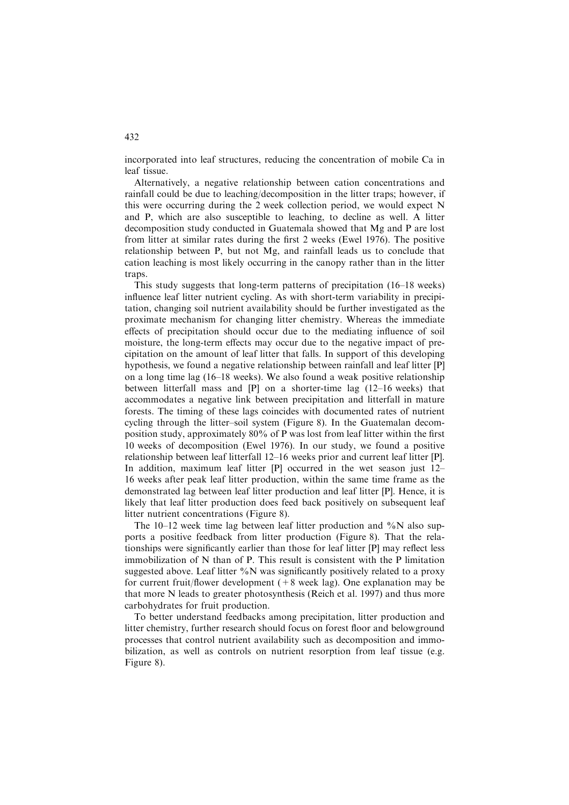incorporated into leaf structures, reducing the concentration of mobile Ca in leaf tissue.

Alternatively, a negative relationship between cation concentrations and rainfall could be due to leaching/decomposition in the litter traps; however, if this were occurring during the 2 week collection period, we would expect N and P, which are also susceptible to leaching, to decline as well. A litter decomposition study conducted in Guatemala showed that Mg and P are lost from litter at similar rates during the first 2 weeks (Ewel 1976). The positive relationship between P, but not Mg, and rainfall leads us to conclude that cation leaching is most likely occurring in the canopy rather than in the litter traps.

This study suggests that long-term patterns of precipitation (16–18 weeks) influence leaf litter nutrient cycling. As with short-term variability in precipitation, changing soil nutrient availability should be further investigated as the proximate mechanism for changing litter chemistry. Whereas the immediate effects of precipitation should occur due to the mediating influence of soil moisture, the long-term effects may occur due to the negative impact of precipitation on the amount of leaf litter that falls. In support of this developing hypothesis, we found a negative relationship between rainfall and leaf litter [P] on a long time lag (16–18 weeks). We also found a weak positive relationship between litterfall mass and [P] on a shorter-time lag (12–16 weeks) that accommodates a negative link between precipitation and litterfall in mature forests. The timing of these lags coincides with documented rates of nutrient cycling through the litter–soil system (Figure 8). In the Guatemalan decomposition study, approximately 80% of P was lost from leaf litter within the first 10 weeks of decomposition (Ewel 1976). In our study, we found a positive relationship between leaf litterfall 12–16 weeks prior and current leaf litter [P]. In addition, maximum leaf litter [P] occurred in the wet season just 12– 16 weeks after peak leaf litter production, within the same time frame as the demonstrated lag between leaf litter production and leaf litter [P]. Hence, it is likely that leaf litter production does feed back positively on subsequent leaf litter nutrient concentrations (Figure 8).

The 10–12 week time lag between leaf litter production and  $\%$ N also supports a positive feedback from litter production (Figure 8). That the relationships were significantly earlier than those for leaf litter [P] may reflect less immobilization of N than of P. This result is consistent with the P limitation suggested above. Leaf litter  $\%$ N was significantly positively related to a proxy for current fruit/flower development  $(+8 \text{ week } \text{lag})$ . One explanation may be that more N leads to greater photosynthesis (Reich et al. 1997) and thus more carbohydrates for fruit production.

To better understand feedbacks among precipitation, litter production and litter chemistry, further research should focus on forest floor and belowground processes that control nutrient availability such as decomposition and immobilization, as well as controls on nutrient resorption from leaf tissue (e.g. Figure 8).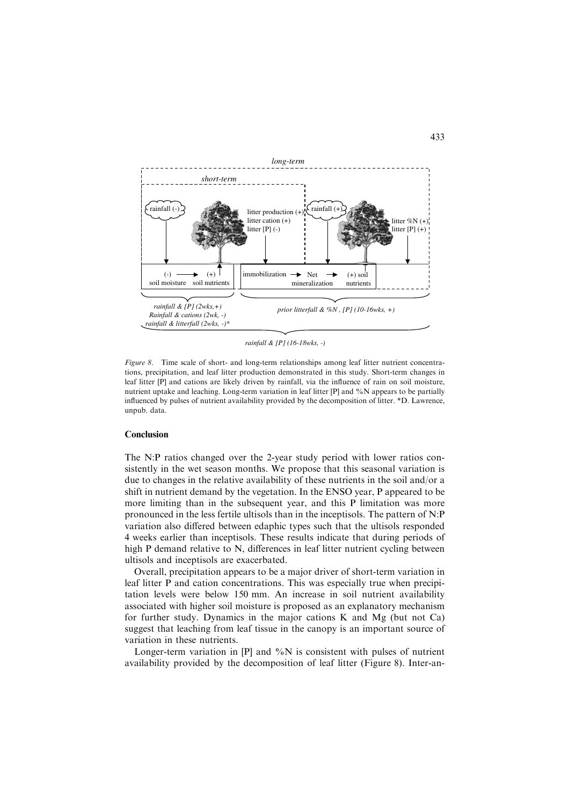

*rainfall & [P] (16-18wks, -)* 

Figure 8. Time scale of short- and long-term relationships among leaf litter nutrient concentrations, precipitation, and leaf litter production demonstrated in this study. Short-term changes in leaf litter [P] and cations are likely driven by rainfall, via the influence of rain on soil moisture, nutrient uptake and leaching. Long-term variation in leaf litter [P] and %N appears to be partially influenced by pulses of nutrient availability provided by the decomposition of litter. \*D. Lawrence, unpub. data.

## **Conclusion**

The N:P ratios changed over the 2-year study period with lower ratios consistently in the wet season months. We propose that this seasonal variation is due to changes in the relative availability of these nutrients in the soil and/or a shift in nutrient demand by the vegetation. In the ENSO year, P appeared to be more limiting than in the subsequent year, and this P limitation was more pronounced in the less fertile ultisols than in the inceptisols. The pattern of N:P variation also differed between edaphic types such that the ultisols responded 4 weeks earlier than inceptisols. These results indicate that during periods of high P demand relative to N, differences in leaf litter nutrient cycling between ultisols and inceptisols are exacerbated.

Overall, precipitation appears to be a major driver of short-term variation in leaf litter P and cation concentrations. This was especially true when precipitation levels were below 150 mm. An increase in soil nutrient availability associated with higher soil moisture is proposed as an explanatory mechanism for further study. Dynamics in the major cations K and Mg (but not Ca) suggest that leaching from leaf tissue in the canopy is an important source of variation in these nutrients.

Longer-term variation in  $[P]$  and  $\%N$  is consistent with pulses of nutrient availability provided by the decomposition of leaf litter (Figure 8). Inter-an-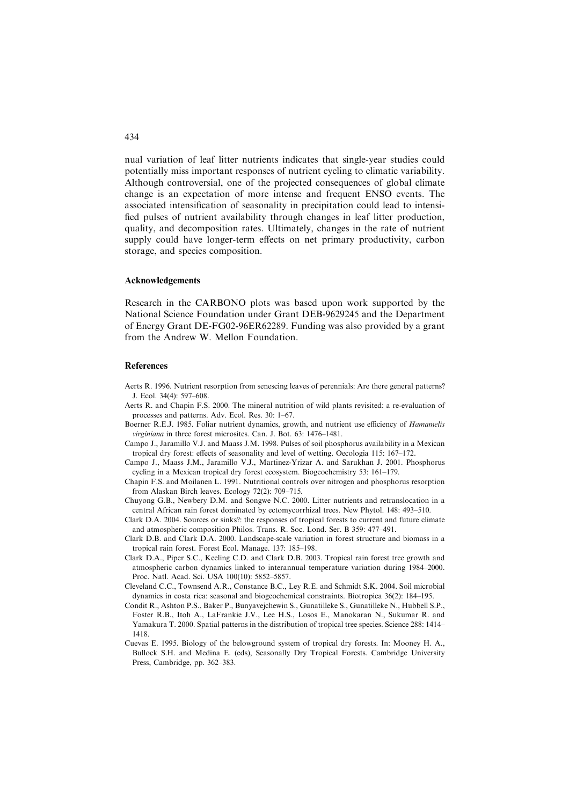nual variation of leaf litter nutrients indicates that single-year studies could potentially miss important responses of nutrient cycling to climatic variability. Although controversial, one of the projected consequences of global climate change is an expectation of more intense and frequent ENSO events. The associated intensification of seasonality in precipitation could lead to intensified pulses of nutrient availability through changes in leaf litter production, quality, and decomposition rates. Ultimately, changes in the rate of nutrient supply could have longer-term effects on net primary productivity, carbon storage, and species composition.

#### Acknowledgements

Research in the CARBONO plots was based upon work supported by the National Science Foundation under Grant DEB-9629245 and the Department of Energy Grant DE-FG02-96ER62289. Funding was also provided by a grant from the Andrew W. Mellon Foundation.

#### References

- Aerts R. 1996. Nutrient resorption from senescing leaves of perennials: Are there general patterns? J. Ecol. 34(4): 597–608.
- Aerts R. and Chapin F.S. 2000. The mineral nutrition of wild plants revisited: a re-evaluation of processes and patterns. Adv. Ecol. Res. 30: 1–67.
- Boerner R.E.J. 1985. Foliar nutrient dynamics, growth, and nutrient use efficiency of *Hamamelis* virginiana in three forest microsites. Can. J. Bot. 63: 1476–1481.
- Campo J., Jaramillo V.J. and Maass J.M. 1998. Pulses of soil phosphorus availability in a Mexican tropical dry forest: effects of seasonality and level of wetting. Oecologia 115: 167–172.
- Campo J., Maass J.M., Jaramillo V.J., Martinez-Yrizar A. and Sarukhan J. 2001. Phosphorus cycling in a Mexican tropical dry forest ecosystem. Biogeochemistry 53: 161–179.
- Chapin F.S. and Moilanen L. 1991. Nutritional controls over nitrogen and phosphorus resorption from Alaskan Birch leaves. Ecology 72(2): 709–715.
- Chuyong G.B., Newbery D.M. and Songwe N.C. 2000. Litter nutrients and retranslocation in a central African rain forest dominated by ectomycorrhizal trees. New Phytol. 148: 493–510.
- Clark D.A. 2004. Sources or sinks?: the responses of tropical forests to current and future climate and atmospheric composition Philos. Trans. R. Soc. Lond. Ser. B 359: 477–491.
- Clark D.B. and Clark D.A. 2000. Landscape-scale variation in forest structure and biomass in a tropical rain forest. Forest Ecol. Manage. 137: 185–198.
- Clark D.A., Piper S.C., Keeling C.D. and Clark D.B. 2003. Tropical rain forest tree growth and atmospheric carbon dynamics linked to interannual temperature variation during 1984–2000. Proc. Natl. Acad. Sci. USA 100(10): 5852–5857.
- Cleveland C.C., Townsend A.R., Constance B.C., Ley R.E. and Schmidt S.K. 2004. Soil microbial dynamics in costa rica: seasonal and biogeochemical constraints. Biotropica 36(2): 184–195.
- Condit R., Ashton P.S., Baker P., Bunyavejchewin S., Gunatilleke S., Gunatilleke N., Hubbell S.P., Foster R.B., Itoh A., LaFrankie J.V., Lee H.S., Losos E., Manokaran N., Sukumar R. and Yamakura T. 2000. Spatial patterns in the distribution of tropical tree species. Science 288: 1414– 1418.
- Cuevas E. 1995. Biology of the belowground system of tropical dry forests. In: Mooney H. A., Bullock S.H. and Medina E. (eds), Seasonally Dry Tropical Forests. Cambridge University Press, Cambridge, pp. 362–383.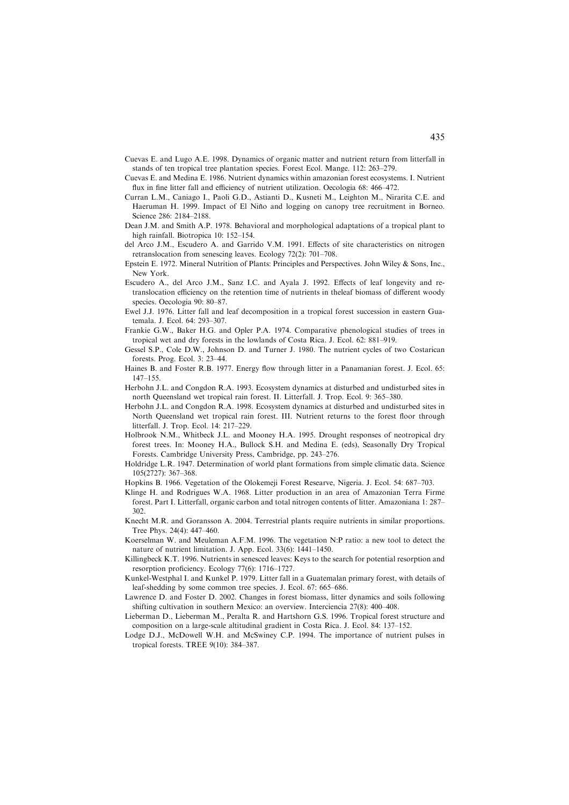- Cuevas E. and Lugo A.E. 1998. Dynamics of organic matter and nutrient return from litterfall in stands of ten tropical tree plantation species. Forest Ecol. Mange. 112: 263–279.
- Cuevas E. and Medina E. 1986. Nutrient dynamics within amazonian forest ecosystems. I. Nutrient flux in fine litter fall and efficiency of nutrient utilization. Oecologia 68: 466–472.
- Curran L.M., Caniago I., Paoli G.D., Astianti D., Kusneti M., Leighton M., Nirarita C.E. and Haeruman H. 1999. Impact of El Niño and logging on canopy tree recruitment in Borneo. Science 286: 2184–2188.
- Dean J.M. and Smith A.P. 1978. Behavioral and morphological adaptations of a tropical plant to high rainfall. Biotropica 10: 152–154.
- del Arco J.M., Escudero A. and Garrido V.M. 1991. Effects of site characteristics on nitrogen retranslocation from senescing leaves. Ecology 72(2): 701–708.
- Epstein E. 1972. Mineral Nutrition of Plants: Principles and Perspectives. John Wiley & Sons, Inc., New York.
- Escudero A., del Arco J.M., Sanz I.C. and Ayala J. 1992. Effects of leaf longevity and retranslocation efficiency on the retention time of nutrients in theleaf biomass of different woody species. Oecologia 90: 80–87.
- Ewel J.J. 1976. Litter fall and leaf decomposition in a tropical forest succession in eastern Guatemala. J. Ecol. 64: 293–307.
- Frankie G.W., Baker H.G. and Opler P.A. 1974. Comparative phenological studies of trees in tropical wet and dry forests in the lowlands of Costa Rica. J. Ecol. 62: 881–919.
- Gessel S.P., Cole D.W., Johnson D. and Turner J. 1980. The nutrient cycles of two Costarican forests. Prog. Ecol. 3: 23–44.
- Haines B. and Foster R.B. 1977. Energy flow through litter in a Panamanian forest. J. Ecol. 65: 147–155.
- Herbohn J.L. and Congdon R.A. 1993. Ecosystem dynamics at disturbed and undisturbed sites in north Queensland wet tropical rain forest. II. Litterfall. J. Trop. Ecol. 9: 365–380.
- Herbohn J.L. and Congdon R.A. 1998. Ecosystem dynamics at disturbed and undisturbed sites in North Queensland wet tropical rain forest. III. Nutrient returns to the forest floor through litterfall. J. Trop. Ecol. 14: 217–229.
- Holbrook N.M., Whitbeck J.L. and Mooney H.A. 1995. Drought responses of neotropical dry forest trees. In: Mooney H.A., Bullock S.H. and Medina E. (eds), Seasonally Dry Tropical Forests. Cambridge University Press, Cambridge, pp. 243–276.
- Holdridge L.R. 1947. Determination of world plant formations from simple climatic data. Science 105(2727): 367–368.
- Hopkins B. 1966. Vegetation of the Olokemeji Forest Researve, Nigeria. J. Ecol. 54: 687–703.
- Klinge H. and Rodrigues W.A. 1968. Litter production in an area of Amazonian Terra Firme forest. Part I. Litterfall, organic carbon and total nitrogen contents of litter. Amazoniana 1: 287– 302.
- Knecht M.R. and Goransson A. 2004. Terrestrial plants require nutrients in similar proportions. Tree Phys. 24(4): 447–460.
- Koerselman W. and Meuleman A.F.M. 1996. The vegetation N:P ratio: a new tool to detect the nature of nutrient limitation. J. App. Ecol. 33(6): 1441–1450.
- Killingbeck K.T. 1996. Nutrients in senesced leaves: Keys to the search for potential resorption and resorption proficiency. Ecology 77(6): 1716–1727.
- Kunkel-Westphal I. and Kunkel P. 1979. Litter fall in a Guatemalan primary forest, with details of leaf-shedding by some common tree species. J. Ecol. 67: 665–686.
- Lawrence D. and Foster D. 2002. Changes in forest biomass, litter dynamics and soils following shifting cultivation in southern Mexico: an overview. Interciencia 27(8): 400–408.
- Lieberman D., Lieberman M., Peralta R. and Hartshorn G.S. 1996. Tropical forest structure and composition on a large-scale altitudinal gradient in Costa Rica. J. Ecol. 84: 137–152.
- Lodge D.J., McDowell W.H. and McSwiney C.P. 1994. The importance of nutrient pulses in tropical forests. TREE 9(10): 384–387.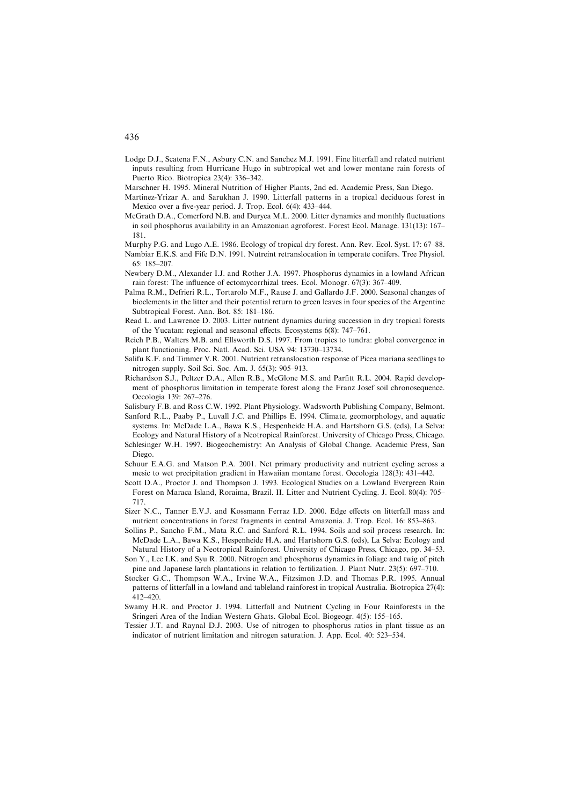- Lodge D.J., Scatena F.N., Asbury C.N. and Sanchez M.J. 1991. Fine litterfall and related nutrient inputs resulting from Hurricane Hugo in subtropical wet and lower montane rain forests of Puerto Rico. Biotropica 23(4): 336–342.
- Marschner H. 1995. Mineral Nutrition of Higher Plants, 2nd ed. Academic Press, San Diego.
- Martinez-Yrizar A. and Sarukhan J. 1990. Litterfall patterns in a tropical deciduous forest in Mexico over a five-year period. J. Trop. Ecol. 6(4): 433–444.
- McGrath D.A., Comerford N.B. and Duryea M.L. 2000. Litter dynamics and monthly fluctuations in soil phosphorus availability in an Amazonian agroforest. Forest Ecol. Manage. 131(13): 167– 181.

Murphy P.G. and Lugo A.E. 1986. Ecology of tropical dry forest. Ann. Rev. Ecol. Syst. 17: 67–88.

Nambiar E.K.S. and Fife D.N. 1991. Nutreint retranslocation in temperate conifers. Tree Physiol. 65: 185–207.

- Newbery D.M., Alexander I.J. and Rother J.A. 1997. Phosphorus dynamics in a lowland African rain forest: The influence of ectomycorrhizal trees. Ecol. Monogr. 67(3): 367–409.
- Palma R.M., Defrieri R.L., Tortarolo M.F., Rause J. and Gallardo J.F. 2000. Seasonal changes of bioelements in the litter and their potential return to green leaves in four species of the Argentine Subtropical Forest. Ann. Bot. 85: 181–186.
- Read L. and Lawrence D. 2003. Litter nutrient dynamics during succession in dry tropical forests of the Yucatan: regional and seasonal effects. Ecosystems 6(8): 747–761.
- Reich P.B., Walters M.B. and Ellsworth D.S. 1997. From tropics to tundra: global convergence in plant functioning. Proc. Natl. Acad. Sci. USA 94: 13730–13734.
- Salifu K.F. and Timmer V.R. 2001. Nutrient retranslocation response of Picea mariana seedlings to nitrogen supply. Soil Sci. Soc. Am. J. 65(3): 905–913.
- Richardson S.J., Peltzer D.A., Allen R.B., McGlone M.S. and Parfitt R.L. 2004. Rapid development of phosphorus limitation in temperate forest along the Franz Josef soil chronosequence. Oecologia 139: 267–276.
- Salisbury F.B. and Ross C.W. 1992. Plant Physiology. Wadsworth Publishing Company, Belmont. Sanford R.L., Paaby P., Luvall J.C. and Phillips E. 1994. Climate, geomorphology, and aquatic systems. In: McDade L.A., Bawa K.S., Hespenheide H.A. and Hartshorn G.S. (eds), La Selva:
- Ecology and Natural History of a Neotropical Rainforest. University of Chicago Press, Chicago. Schlesinger W.H. 1997. Biogeochemistry: An Analysis of Global Change. Academic Press, San Diego.
- Schuur E.A.G. and Matson P.A. 2001. Net primary productivity and nutrient cycling across a mesic to wet precipitation gradient in Hawaiian montane forest. Oecologia 128(3): 431–442.
- Scott D.A., Proctor J. and Thompson J. 1993. Ecological Studies on a Lowland Evergreen Rain Forest on Maraca Island, Roraima, Brazil. II. Litter and Nutrient Cycling. J. Ecol. 80(4): 705– 717.
- Sizer N.C., Tanner E.V.J. and Kossmann Ferraz I.D. 2000. Edge effects on litterfall mass and nutrient concentrations in forest fragments in central Amazonia. J. Trop. Ecol. 16: 853–863.
- Sollins P., Sancho F.M., Mata R.C. and Sanford R.L. 1994. Soils and soil process research. In: McDade L.A., Bawa K.S., Hespenheide H.A. and Hartshorn G.S. (eds), La Selva: Ecology and Natural History of a Neotropical Rainforest. University of Chicago Press, Chicago, pp. 34–53. Son Y., Lee I.K. and Syu R. 2000. Nitrogen and phosphorus dynamics in foliage and twig of pitch
- pine and Japanese larch plantations in relation to fertilization. J. Plant Nutr. 23(5): 697–710.
- Stocker G.C., Thompson W.A., Irvine W.A., Fitzsimon J.D. and Thomas P.R. 1995. Annual patterns of litterfall in a lowland and tableland rainforest in tropical Australia. Biotropica 27(4): 412–420.
- Swamy H.R. and Proctor J. 1994. Litterfall and Nutrient Cycling in Four Rainforests in the Sringeri Area of the Indian Western Ghats. Global Ecol. Biogeogr. 4(5): 155–165.
- Tessier J.T. and Raynal D.J. 2003. Use of nitrogen to phosphorus ratios in plant tissue as an indicator of nutrient limitation and nitrogen saturation. J. App. Ecol. 40: 523–534.